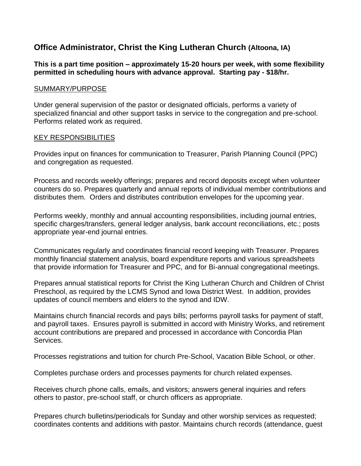# **Office Administrator, Christ the King Lutheran Church (Altoona, IA)**

### **This is a part time position – approximately 15-20 hours per week, with some flexibility permitted in scheduling hours with advance approval. Starting pay - \$18/hr.**

#### SUMMARY/PURPOSE

Under general supervision of the pastor or designated officials, performs a variety of specialized financial and other support tasks in service to the congregation and pre-school. Performs related work as required.

#### KEY RESPONSIBILITIES

Provides input on finances for communication to Treasurer, Parish Planning Council (PPC) and congregation as requested.

Process and records weekly offerings; prepares and record deposits except when volunteer counters do so. Prepares quarterly and annual reports of individual member contributions and distributes them. Orders and distributes contribution envelopes for the upcoming year.

Performs weekly, monthly and annual accounting responsibilities, including journal entries, specific charges/transfers, general ledger analysis, bank account reconciliations, etc.; posts appropriate year-end journal entries.

Communicates regularly and coordinates financial record keeping with Treasurer. Prepares monthly financial statement analysis, board expenditure reports and various spreadsheets that provide information for Treasurer and PPC, and for Bi-annual congregational meetings.

Prepares annual statistical reports for Christ the King Lutheran Church and Children of Christ Preschool, as required by the LCMS Synod and Iowa District West. In addition, provides updates of council members and elders to the synod and IDW.

Maintains church financial records and pays bills; performs payroll tasks for payment of staff, and payroll taxes. Ensures payroll is submitted in accord with Ministry Works, and retirement account contributions are prepared and processed in accordance with Concordia Plan Services.

Processes registrations and tuition for church Pre-School, Vacation Bible School, or other.

Completes purchase orders and processes payments for church related expenses.

Receives church phone calls, emails, and visitors; answers general inquiries and refers others to pastor, pre-school staff, or church officers as appropriate.

Prepares church bulletins/periodicals for Sunday and other worship services as requested; coordinates contents and additions with pastor. Maintains church records (attendance, guest